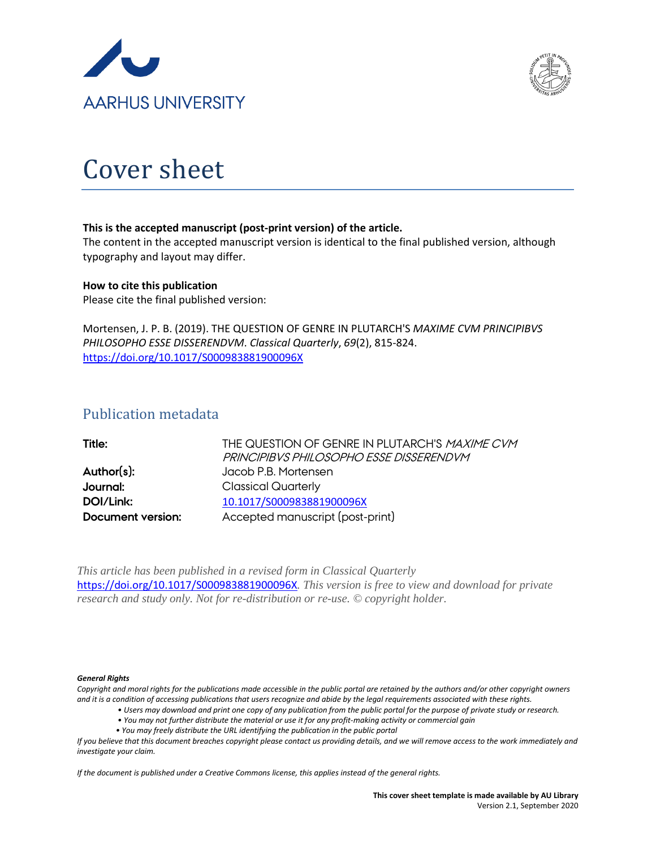



# Cover sheet

#### **This is the accepted manuscript (post-print version) of the article.**

The content in the accepted manuscript version is identical to the final published version, although typography and layout may differ.

#### **How to cite this publication**

Please cite the final published version:

Mortensen, J. P. B. (2019). THE QUESTION OF GENRE IN PLUTARCH'S *MAXIME CVM PRINCIPIBVS PHILOSOPHO ESSE DISSERENDVM*. *Classical Quarterly*, *69*(2), 815-824. <https://doi.org/10.1017/S000983881900096X>

## Publication metadata

| Title:                   | THE QUESTION OF GENRE IN PLUTARCH'S MAXIME CVM |
|--------------------------|------------------------------------------------|
|                          | PRINCIPIBVS PHILOSOPHO ESSE DISSERENDVM        |
| Author(s):               | Jacob P.B. Mortensen                           |
| Journal:                 | <b>Classical Quarterly</b>                     |
| DOI/Link:                | 10.1017/S000983881900096X                      |
| <b>Document version:</b> | Accepted manuscript (post-print)               |

*This article has been published in a revised form in Classical Quarterly* <https://doi.org/10.1017/S000983881900096X>*. This version is free to view and download for private research and study only. Not for re-distribution or re-use. © copyright holder.*

#### *General Rights*

*Copyright and moral rights for the publications made accessible in the public portal are retained by the authors and/or other copyright owners and it is a condition of accessing publications that users recognize and abide by the legal requirements associated with these rights.*

- *Users may download and print one copy of any publication from the public portal for the purpose of private study or research.*
- *You may not further distribute the material or use it for any profit-making activity or commercial gain*
- *You may freely distribute the URL identifying the publication in the public portal*

*If you believe that this document breaches copyright please contact us providing details, and we will remove access to the work immediately and investigate your claim.*

*If the document is published under a Creative Commons license, this applies instead of the general rights.*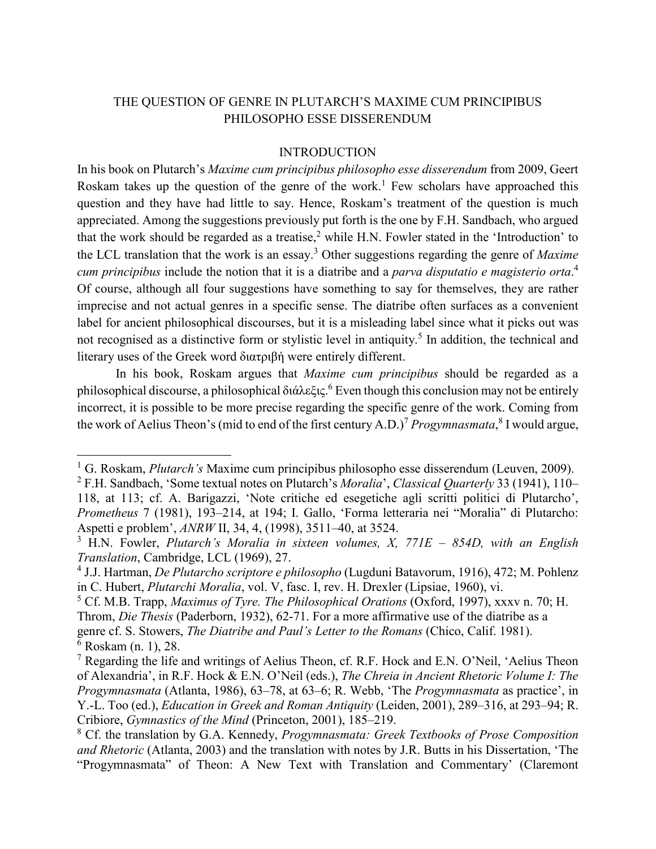## THE QUESTION OF GENRE IN PLUTARCH'S MAXIME CUM PRINCIPIBUS PHILOSOPHO ESSE DISSERENDUM

#### INTRODUCTION

In his book on Plutarch's *Maxime cum principibus philosopho esse disserendum* from 2009, Geert Roskam takes up the question of the genre of the work.<sup>1</sup> Few scholars have approached this question and they have had little to say. Hence, Roskam's treatment of the question is much appreciated. Among the suggestions previously put forth is the one by F.H. Sandbach, who argued that the work should be regarded as a treatise,<sup>2</sup> while H.N. Fowler stated in the 'Introduction' to the LCL translation that the work is an essay.<sup>3</sup> Other suggestions regarding the genre of *Maxime cum principibus* include the notion that it is a diatribe and a *parva disputatio e magisterio orta*. 4 Of course, although all four suggestions have something to say for themselves, they are rather imprecise and not actual genres in a specific sense. The diatribe often surfaces as a convenient label for ancient philosophical discourses, but it is a misleading label since what it picks out was not recognised as a distinctive form or stylistic level in antiquity.<sup>5</sup> In addition, the technical and literary uses of the Greek word διατριβή were entirely different.

In his book, Roskam argues that *Maxime cum principibus* should be regarded as a philosophical discourse, a philosophical διάλεξις. <sup>6</sup> Even though this conclusion may not be entirely incorrect, it is possible to be more precise regarding the specific genre of the work. Coming from the work of Aelius Theon's (mid to end of the first century A.D.) <sup>7</sup> *Progymnasmata*, <sup>8</sup> I would argue,

<sup>&</sup>lt;sup>1</sup> G. Roskam, *Plutarch's* Maxime cum principibus philosopho esse disserendum (Leuven, 2009).

<sup>2</sup> F.H. Sandbach, 'Some textual notes on Plutarch's *Moralia*', *Classical Quarterly* 33 (1941), 110– 118, at 113; cf. A. Barigazzi, 'Note critiche ed esegetiche agli scritti politici di Plutarcho', *Prometheus* 7 (1981), 193–214, at 194; I. Gallo, 'Forma letteraria nei "Moralia" di Plutarcho: Aspetti e problem', *ANRW* II, 34, 4, (1998), 3511–40, at 3524.

<sup>3</sup> H.N. Fowler, *Plutarch's Moralia in sixteen volumes, X, 771E – 854D, with an English Translation*, Cambridge, LCL (1969), 27.

<sup>4</sup> J.J. Hartman, *De Plutarcho scriptore e philosopho* (Lugduni Batavorum, 1916), 472; M. Pohlenz in C. Hubert, *Plutarchi Moralia*, vol. V, fasc. I, rev. H. Drexler (Lipsiae, 1960), vi.

<sup>5</sup> Cf. M.B. Trapp, *Maximus of Tyre. The Philosophical Orations* (Oxford, 1997), xxxv n. 70; H.

Throm, *Die Thesis* (Paderborn, 1932), 62-71. For a more affirmative use of the diatribe as a genre cf. S. Stowers, *The Diatribe and Paul's Letter to the Romans* (Chico, Calif. 1981).

 $6$  Roskam (n. 1), 28.

<sup>&</sup>lt;sup>7</sup> Regarding the life and writings of Aelius Theon, cf. R.F. Hock and E.N. O'Neil, 'Aelius Theon of Alexandria', in R.F. Hock & E.N. O'Neil (eds.), *The Chreia in Ancient Rhetoric Volume I: The Progymnasmata* (Atlanta, 1986), 63–78, at 63–6; R. Webb, 'The *Progymnasmata* as practice', in Y.-L. Too (ed.), *Education in Greek and Roman Antiquity* (Leiden, 2001), 289–316, at 293–94; R. Cribiore, *Gymnastics of the Mind* (Princeton, 2001), 185–219.

<sup>8</sup> Cf. the translation by G.A. Kennedy, *Progymnasmata: Greek Textbooks of Prose Composition and Rhetoric* (Atlanta, 2003) and the translation with notes by J.R. Butts in his Dissertation, 'The "Progymnasmata" of Theon: A New Text with Translation and Commentary' (Claremont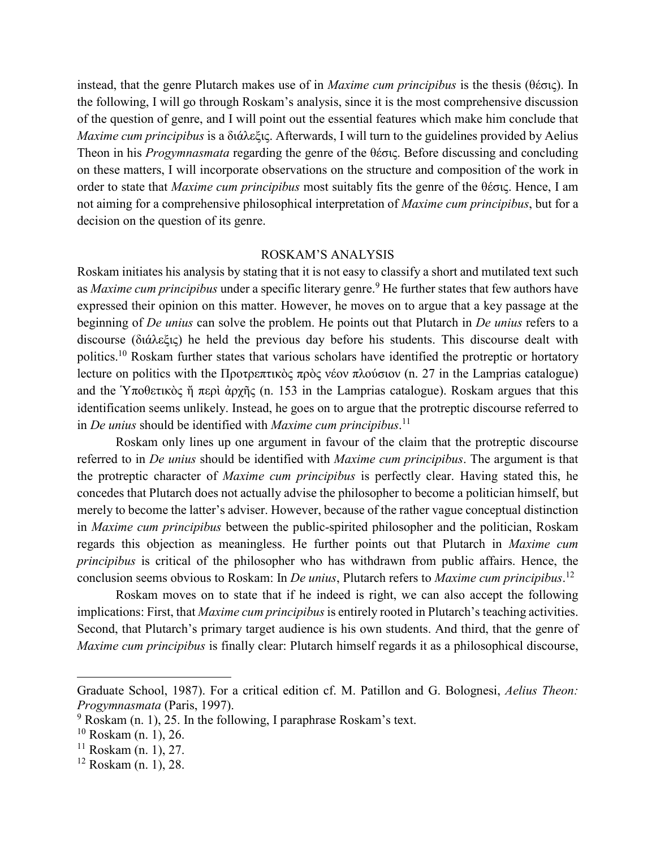instead, that the genre Plutarch makes use of in *Maxime cum principibus* is the thesis (θέσις). In the following, I will go through Roskam's analysis, since it is the most comprehensive discussion of the question of genre, and I will point out the essential features which make him conclude that *Maxime cum principibus* is a διάλεξις. Afterwards, I will turn to the guidelines provided by Aelius Theon in his *Progymnasmata* regarding the genre of the θέσις. Before discussing and concluding on these matters, I will incorporate observations on the structure and composition of the work in order to state that *Maxime cum principibus* most suitably fits the genre of the θέσις. Hence, I am not aiming for a comprehensive philosophical interpretation of *Maxime cum principibus*, but for a decision on the question of its genre.

### ROSKAM'S ANALYSIS

Roskam initiates his analysis by stating that it is not easy to classify a short and mutilated text such as *Maxime cum principibus* under a specific literary genre.<sup>9</sup> He further states that few authors have expressed their opinion on this matter. However, he moves on to argue that a key passage at the beginning of *De unius* can solve the problem. He points out that Plutarch in *De unius* refers to a discourse (διάλεξις) he held the previous day before his students. This discourse dealt with politics.10 Roskam further states that various scholars have identified the protreptic or hortatory lecture on politics with the Προτρεπτικὸς πρὸς νέον πλούσιον (n. 27 in the Lamprias catalogue) and the Ὑποθετικὸς ἤ περὶ ἀρχῆς (n. 153 in the Lamprias catalogue). Roskam argues that this identification seems unlikely. Instead, he goes on to argue that the protreptic discourse referred to in *De unius* should be identified with *Maxime cum principibus*. 11

Roskam only lines up one argument in favour of the claim that the protreptic discourse referred to in *De unius* should be identified with *Maxime cum principibus*. The argument is that the protreptic character of *Maxime cum principibus* is perfectly clear. Having stated this, he concedes that Plutarch does not actually advise the philosopher to become a politician himself, but merely to become the latter's adviser. However, because of the rather vague conceptual distinction in *Maxime cum principibus* between the public-spirited philosopher and the politician, Roskam regards this objection as meaningless. He further points out that Plutarch in *Maxime cum principibus* is critical of the philosopher who has withdrawn from public affairs. Hence, the conclusion seems obvious to Roskam: In *De unius*, Plutarch refers to *Maxime cum principibus*. 12

Roskam moves on to state that if he indeed is right, we can also accept the following implications: First, that *Maxime cum principibus* is entirely rooted in Plutarch's teaching activities. Second, that Plutarch's primary target audience is his own students. And third, that the genre of *Maxime cum principibus* is finally clear: Plutarch himself regards it as a philosophical discourse,

Graduate School, 1987). For a critical edition cf. M. Patillon and G. Bolognesi, *Aelius Theon: Progymnasmata* (Paris, 1997).

 $9$  Roskam (n. 1), 25. In the following, I paraphrase Roskam's text.

 $10$  Roskam (n. 1), 26.

 $11$  Roskam (n. 1), 27.

<sup>12</sup> Roskam (n. 1), 28.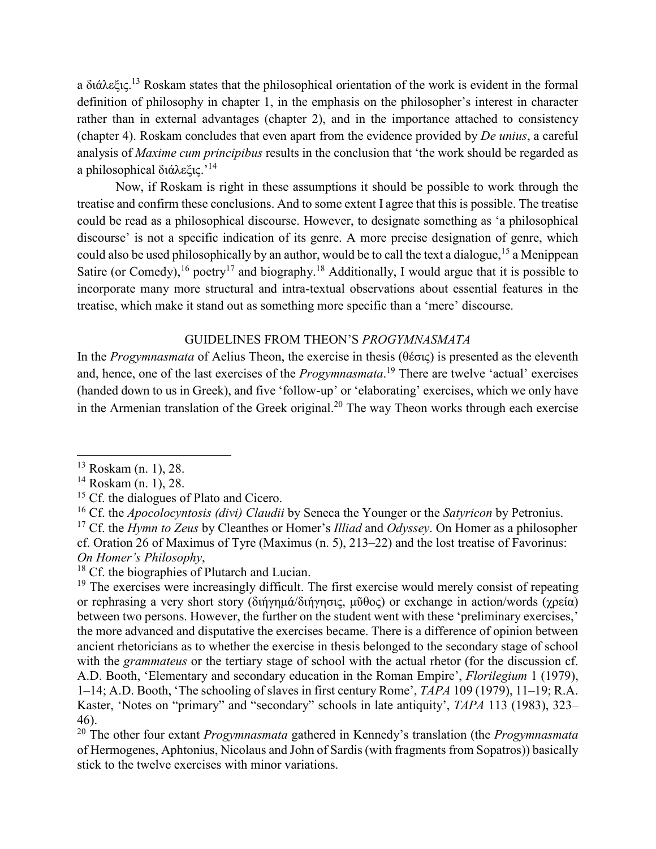a διάλεξις.<sup>13</sup> Roskam states that the philosophical orientation of the work is evident in the formal definition of philosophy in chapter 1, in the emphasis on the philosopher's interest in character rather than in external advantages (chapter 2), and in the importance attached to consistency (chapter 4). Roskam concludes that even apart from the evidence provided by *De unius*, a careful analysis of *Maxime cum principibus* results in the conclusion that 'the work should be regarded as a philosophical διάλεξις.'<sup>14</sup>

Now, if Roskam is right in these assumptions it should be possible to work through the treatise and confirm these conclusions. And to some extent I agree that this is possible. The treatise could be read as a philosophical discourse. However, to designate something as 'a philosophical discourse' is not a specific indication of its genre. A more precise designation of genre, which could also be used philosophically by an author, would be to call the text a dialogue,<sup>15</sup> a Menippean Satire (or Comedy), <sup>16</sup> poetry<sup>17</sup> and biography.<sup>18</sup> Additionally, I would argue that it is possible to incorporate many more structural and intra-textual observations about essential features in the treatise, which make it stand out as something more specific than a 'mere' discourse.

## GUIDELINES FROM THEON'S *PROGYMNASMATA*

In the *Progymnasmata* of Aelius Theon, the exercise in thesis (θέσις) is presented as the eleventh and, hence, one of the last exercises of the *Progymnasmata*. <sup>19</sup> There are twelve 'actual' exercises (handed down to us in Greek), and five 'follow-up' or 'elaborating' exercises, which we only have in the Armenian translation of the Greek original.<sup>20</sup> The way Theon works through each exercise

l

<sup>18</sup> Cf. the biographies of Plutarch and Lucian.

<sup>13</sup> Roskam (n. 1), 28.

<sup>14</sup> Roskam (n. 1), 28.

<sup>&</sup>lt;sup>15</sup> Cf. the dialogues of Plato and Cicero.

<sup>16</sup> Cf. the *Apocolocyntosis (divi) Claudii* by Seneca the Younger or the *Satyricon* by Petronius.

<sup>17</sup> Cf. the *Hymn to Zeus* by Cleanthes or Homer's *Illiad* and *Odyssey*. On Homer as a philosopher cf. Oration 26 of Maximus of Tyre (Maximus (n. 5), 213–22) and the lost treatise of Favorinus: *On Homer's Philosophy*,

 $19$  The exercises were increasingly difficult. The first exercise would merely consist of repeating or rephrasing a very short story (διήγημά/διήγησις, μῦθος) or exchange in action/words (χρεία) between two persons. However, the further on the student went with these 'preliminary exercises,' the more advanced and disputative the exercises became. There is a difference of opinion between ancient rhetoricians as to whether the exercise in thesis belonged to the secondary stage of school with the *grammateus* or the tertiary stage of school with the actual rhetor (for the discussion cf. A.D. Booth, 'Elementary and secondary education in the Roman Empire', *Florilegium* 1 (1979), 1–14; A.D. Booth, 'The schooling of slaves in first century Rome', *TAPA* 109 (1979), 11–19; R.A. Kaster, 'Notes on "primary" and "secondary" schools in late antiquity', *TAPA* 113 (1983), 323– 46).

<sup>20</sup> The other four extant *Progymnasmata* gathered in Kennedy's translation (the *Progymnasmata*  of Hermogenes, Aphtonius, Nicolaus and John of Sardis (with fragments from Sopatros)) basically stick to the twelve exercises with minor variations.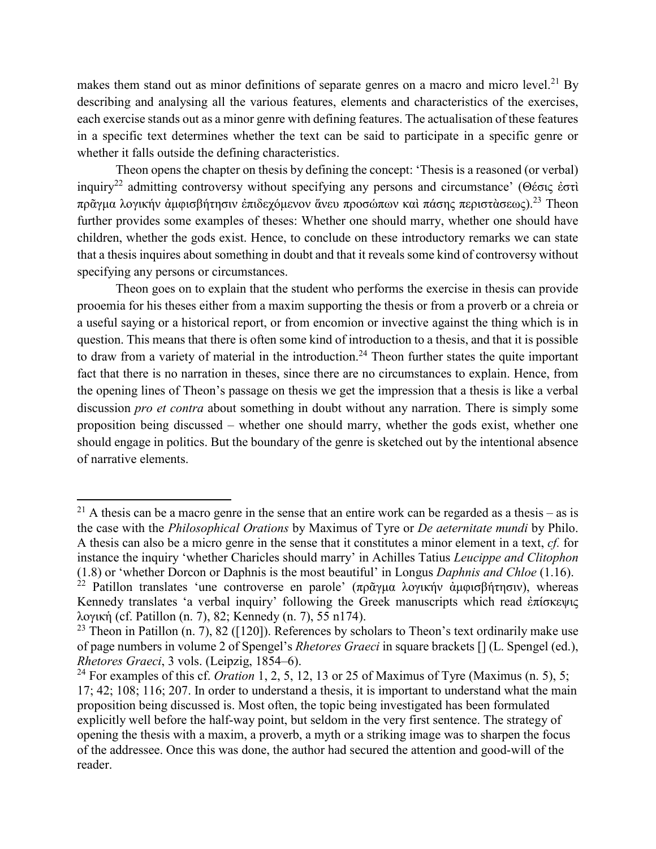makes them stand out as minor definitions of separate genres on a macro and micro level.<sup>21</sup> By describing and analysing all the various features, elements and characteristics of the exercises, each exercise stands out as a minor genre with defining features. The actualisation of these features in a specific text determines whether the text can be said to participate in a specific genre or whether it falls outside the defining characteristics.

Theon opens the chapter on thesis by defining the concept: 'Thesis is a reasoned (or verbal) inquiry22 admitting controversy without specifying any persons and circumstance' (Θέσις ἐστὶ πρᾶγμα λογικήν ἀμφισβήτησιν ἐπιδεχόμενον ἅνευ προσώπων καὶ πάσης περιστὰσεως).<sup>23</sup> Theon further provides some examples of theses: Whether one should marry, whether one should have children, whether the gods exist. Hence, to conclude on these introductory remarks we can state that a thesis inquires about something in doubt and that it reveals some kind of controversy without specifying any persons or circumstances.

Theon goes on to explain that the student who performs the exercise in thesis can provide prooemia for his theses either from a maxim supporting the thesis or from a proverb or a chreia or a useful saying or a historical report, or from encomion or invective against the thing which is in question. This means that there is often some kind of introduction to a thesis, and that it is possible to draw from a variety of material in the introduction.<sup>24</sup> Theon further states the quite important fact that there is no narration in theses, since there are no circumstances to explain. Hence, from the opening lines of Theon's passage on thesis we get the impression that a thesis is like a verbal discussion *pro et contra* about something in doubt without any narration. There is simply some proposition being discussed – whether one should marry, whether the gods exist, whether one should engage in politics. But the boundary of the genre is sketched out by the intentional absence of narrative elements.

 $\overline{\phantom{a}}$ 

<sup>&</sup>lt;sup>21</sup> A thesis can be a macro genre in the sense that an entire work can be regarded as a thesis – as is the case with the *Philosophical Orations* by Maximus of Tyre or *De aeternitate mundi* by Philo. A thesis can also be a micro genre in the sense that it constitutes a minor element in a text, *cf.* for instance the inquiry 'whether Charicles should marry' in Achilles Tatius *Leucippe and Clitophon* (1.8) or 'whether Dorcon or Daphnis is the most beautiful' in Longus *Daphnis and Chloe* (1.16).

<sup>&</sup>lt;sup>22</sup> Patillon translates 'une controverse en parole' (πρᾶγμα λογικήν ἀμφισβήτησιν), whereas Kennedy translates 'a verbal inquiry' following the Greek manuscripts which read ἐπίσκεψις λογικἡ (cf. Patillon (n. 7), 82; Kennedy (n. 7), 55 n174).

<sup>&</sup>lt;sup>23</sup> Theon in Patillon (n. 7), 82 ([120]). References by scholars to Theon's text ordinarily make use of page numbers in volume 2 of Spengel's *Rhetores Graeci* in square brackets [] (L. Spengel (ed.), *Rhetores Graeci*, 3 vols. (Leipzig, 1854–6).

<sup>&</sup>lt;sup>24</sup> For examples of this cf. *Oration* 1, 2, 5, 12, 13 or 25 of Maximus of Tyre (Maximus  $(n, 5)$ , 5; 17; 42; 108; 116; 207. In order to understand a thesis, it is important to understand what the main proposition being discussed is. Most often, the topic being investigated has been formulated explicitly well before the half-way point, but seldom in the very first sentence. The strategy of opening the thesis with a maxim, a proverb, a myth or a striking image was to sharpen the focus of the addressee. Once this was done, the author had secured the attention and good-will of the reader.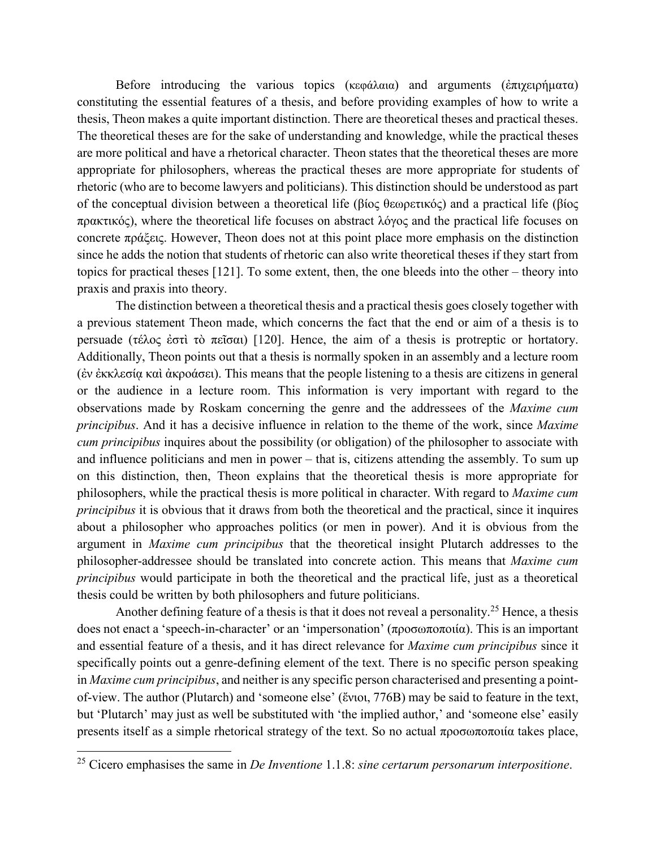Before introducing the various topics (κεφάλαια) and arguments (ἐπιχειρήματα) constituting the essential features of a thesis, and before providing examples of how to write a thesis, Theon makes a quite important distinction. There are theoretical theses and practical theses. The theoretical theses are for the sake of understanding and knowledge, while the practical theses are more political and have a rhetorical character. Theon states that the theoretical theses are more appropriate for philosophers, whereas the practical theses are more appropriate for students of rhetoric (who are to become lawyers and politicians). This distinction should be understood as part of the conceptual division between a theoretical life (βίος θεωρετικός) and a practical life (βίος πρακτικός), where the theoretical life focuses on abstract λόγος and the practical life focuses on concrete πράξεις. However, Theon does not at this point place more emphasis on the distinction since he adds the notion that students of rhetoric can also write theoretical theses if they start from topics for practical theses [121]. To some extent, then, the one bleeds into the other – theory into praxis and praxis into theory.

The distinction between a theoretical thesis and a practical thesis goes closely together with a previous statement Theon made, which concerns the fact that the end or aim of a thesis is to persuade (τέλος ἐστὶ τὸ πεῖσαι) [120]. Hence, the aim of a thesis is protreptic or hortatory. Additionally, Theon points out that a thesis is normally spoken in an assembly and a lecture room (ἐν ἐκκλεσίᾳ καὶ ἀκροάσει). This means that the people listening to a thesis are citizens in general or the audience in a lecture room. This information is very important with regard to the observations made by Roskam concerning the genre and the addressees of the *Maxime cum principibus*. And it has a decisive influence in relation to the theme of the work, since *Maxime cum principibus* inquires about the possibility (or obligation) of the philosopher to associate with and influence politicians and men in power – that is, citizens attending the assembly. To sum up on this distinction, then, Theon explains that the theoretical thesis is more appropriate for philosophers, while the practical thesis is more political in character. With regard to *Maxime cum principibus* it is obvious that it draws from both the theoretical and the practical, since it inquires about a philosopher who approaches politics (or men in power). And it is obvious from the argument in *Maxime cum principibus* that the theoretical insight Plutarch addresses to the philosopher-addressee should be translated into concrete action. This means that *Maxime cum principibus* would participate in both the theoretical and the practical life, just as a theoretical thesis could be written by both philosophers and future politicians.

Another defining feature of a thesis is that it does not reveal a personality.<sup>25</sup> Hence, a thesis does not enact a 'speech-in-character' or an 'impersonation' (προσωποποιία). This is an important and essential feature of a thesis, and it has direct relevance for *Maxime cum principibus* since it specifically points out a genre-defining element of the text. There is no specific person speaking in *Maxime cum principibus*, and neither is any specific person characterised and presenting a pointof-view. The author (Plutarch) and 'someone else' (ἔνιοι, 776B) may be said to feature in the text, but 'Plutarch' may just as well be substituted with 'the implied author,' and 'someone else' easily presents itself as a simple rhetorical strategy of the text. So no actual προσωποποιία takes place,

<sup>25</sup> Cicero emphasises the same in *De Inventione* 1.1.8: *sine certarum personarum interpositione*.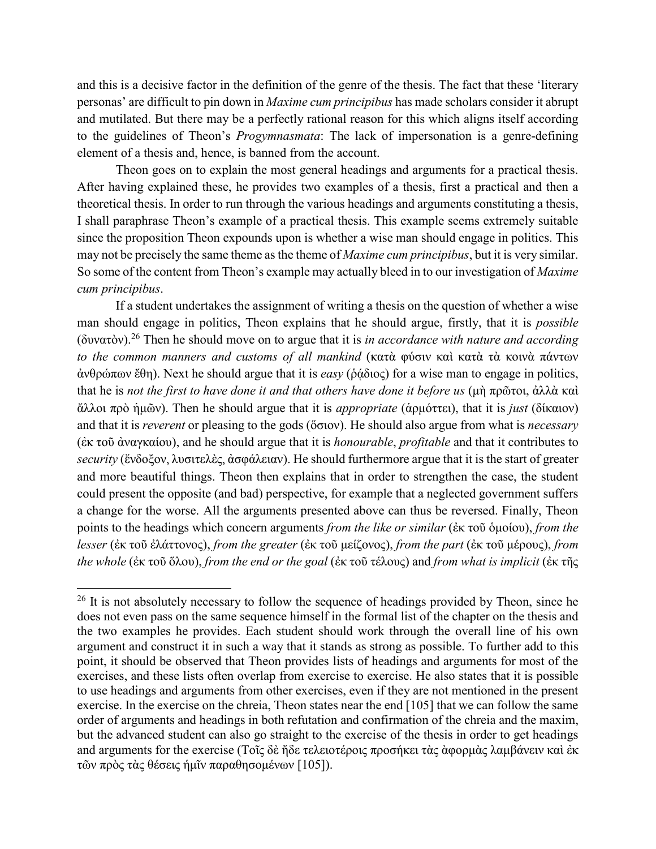and this is a decisive factor in the definition of the genre of the thesis. The fact that these 'literary personas' are difficult to pin down in *Maxime cum principibus* has made scholars consider it abrupt and mutilated. But there may be a perfectly rational reason for this which aligns itself according to the guidelines of Theon's *Progymnasmata*: The lack of impersonation is a genre-defining element of a thesis and, hence, is banned from the account.

Theon goes on to explain the most general headings and arguments for a practical thesis. After having explained these, he provides two examples of a thesis, first a practical and then a theoretical thesis. In order to run through the various headings and arguments constituting a thesis, I shall paraphrase Theon's example of a practical thesis. This example seems extremely suitable since the proposition Theon expounds upon is whether a wise man should engage in politics. This may not be precisely the same theme as the theme of *Maxime cum principibus*, but it is very similar. So some of the content from Theon's example may actually bleed in to our investigation of *Maxime cum principibus*.

If a student undertakes the assignment of writing a thesis on the question of whether a wise man should engage in politics, Theon explains that he should argue, firstly, that it is *possible* (δυνατὸν).<sup>26</sup> Then he should move on to argue that it is *in accordance with nature and according to the common manners and customs of all mankind* (κατὰ φύσιν καὶ κατὰ τὰ κοινὰ πάντων ἀνθρώπων ἔθη). Next he should argue that it is *easy* (ῥᾴδιος) for a wise man to engage in politics, that he is *not the first to have done it and that others have done it before us* (μὴ πρῶτοι, ἀλλὰ καὶ ἄλλοι πρὸ ἡμῶν). Then he should argue that it is *appropriate* (ἁρμόττει), that it is *just* (δίκαιον) and that it is *reverent* or pleasing to the gods (ὅσιον). He should also argue from what is *necessary* (ἐκ τοῦ ἀναγκαίου), and he should argue that it is *honourable*, *profitable* and that it contributes to *security* (ἔνδοξον, λυσιτελὲς, ἀσφάλειαν). He should furthermore argue that it is the start of greater and more beautiful things. Theon then explains that in order to strengthen the case, the student could present the opposite (and bad) perspective, for example that a neglected government suffers a change for the worse. All the arguments presented above can thus be reversed. Finally, Theon points to the headings which concern arguments *from the like or similar* (ἐκ τοῦ ὁμοίου), *from the lesser* (ἐκ τοῦ ἐλάττονος), *from the greater* (ἐκ τοῦ μείζονος), *from the part* (ἐκ τοῦ μέρους), *from the whole* (ἐκ τοῦ ὅλου), *from the end or the goal* (ἐκ τοῦ τέλους) and *from what is implicit* (ἐκ τῆς

 $26$  It is not absolutely necessary to follow the sequence of headings provided by Theon, since he does not even pass on the same sequence himself in the formal list of the chapter on the thesis and the two examples he provides. Each student should work through the overall line of his own argument and construct it in such a way that it stands as strong as possible. To further add to this point, it should be observed that Theon provides lists of headings and arguments for most of the exercises, and these lists often overlap from exercise to exercise. He also states that it is possible to use headings and arguments from other exercises, even if they are not mentioned in the present exercise. In the exercise on the chreia, Theon states near the end [105] that we can follow the same order of arguments and headings in both refutation and confirmation of the chreia and the maxim, but the advanced student can also go straight to the exercise of the thesis in order to get headings and arguments for the exercise (Τοῖς δὲ ἤδε τελειοτέροις προσήκει τὰς ὰφορμὰς λαμβάνειν καὶ ἐκ τῶν πρὸς τὰς θέσεις ήμῖν παραθησομένων [105]).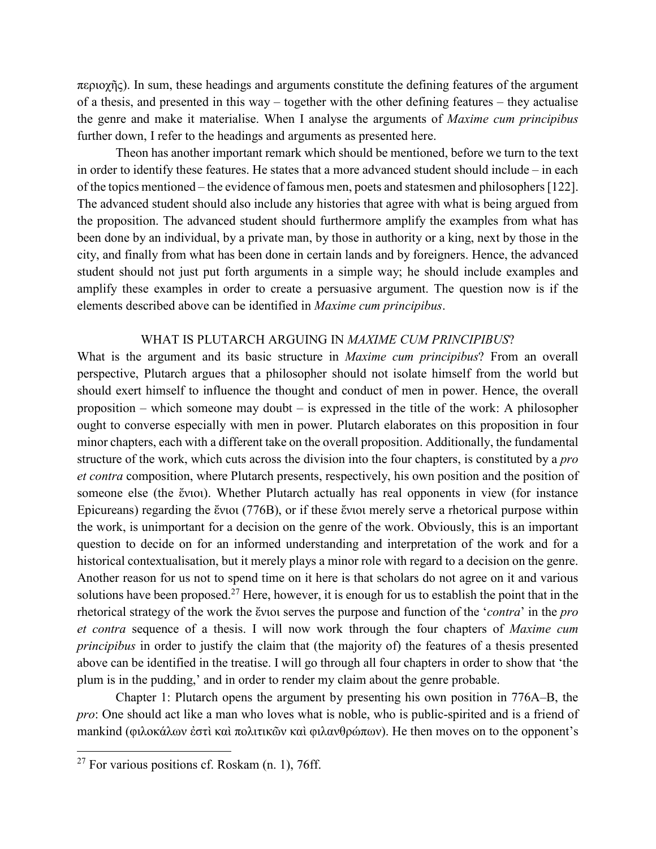περιοχῆς). In sum, these headings and arguments constitute the defining features of the argument of a thesis, and presented in this way – together with the other defining features – they actualise the genre and make it materialise. When I analyse the arguments of *Maxime cum principibus* further down, I refer to the headings and arguments as presented here.

Theon has another important remark which should be mentioned, before we turn to the text in order to identify these features. He states that a more advanced student should include – in each of the topics mentioned – the evidence of famous men, poets and statesmen and philosophers [122]. The advanced student should also include any histories that agree with what is being argued from the proposition. The advanced student should furthermore amplify the examples from what has been done by an individual, by a private man, by those in authority or a king, next by those in the city, and finally from what has been done in certain lands and by foreigners. Hence, the advanced student should not just put forth arguments in a simple way; he should include examples and amplify these examples in order to create a persuasive argument. The question now is if the elements described above can be identified in *Maxime cum principibus*.

#### WHAT IS PLUTARCH ARGUING IN *MAXIME CUM PRINCIPIBUS*?

What is the argument and its basic structure in *Maxime cum principibus*? From an overall perspective, Plutarch argues that a philosopher should not isolate himself from the world but should exert himself to influence the thought and conduct of men in power. Hence, the overall proposition – which someone may doubt – is expressed in the title of the work: A philosopher ought to converse especially with men in power. Plutarch elaborates on this proposition in four minor chapters, each with a different take on the overall proposition. Additionally, the fundamental structure of the work, which cuts across the division into the four chapters, is constituted by a *pro et contra* composition, where Plutarch presents, respectively, his own position and the position of someone else (the ἔνιοι). Whether Plutarch actually has real opponents in view (for instance Epicureans) regarding the ἔνιοι (776B), or if these ἔνιοι merely serve a rhetorical purpose within the work, is unimportant for a decision on the genre of the work. Obviously, this is an important question to decide on for an informed understanding and interpretation of the work and for a historical contextualisation, but it merely plays a minor role with regard to a decision on the genre. Another reason for us not to spend time on it here is that scholars do not agree on it and various solutions have been proposed.<sup>27</sup> Here, however, it is enough for us to establish the point that in the rhetorical strategy of the work the ἔνιοι serves the purpose and function of the '*contra*' in the *pro et contra* sequence of a thesis. I will now work through the four chapters of *Maxime cum principibus* in order to justify the claim that (the majority of) the features of a thesis presented above can be identified in the treatise. I will go through all four chapters in order to show that 'the plum is in the pudding,' and in order to render my claim about the genre probable.

Chapter 1: Plutarch opens the argument by presenting his own position in 776A–B, the *pro*: One should act like a man who loves what is noble, who is public-spirited and is a friend of mankind (φιλοκάλων ἐστὶ καὶ πολιτικῶν καὶ φιλανθρώπων). He then moves on to the opponent's

 $27$  For various positions cf. Roskam (n. 1), 76ff.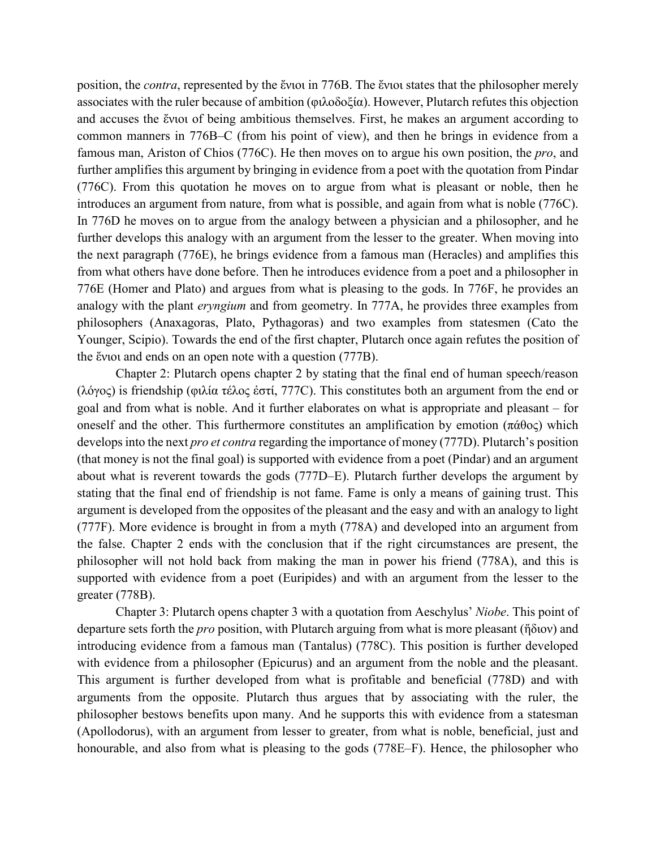position, the *contra*, represented by the ἔνιοι in 776B. The ἔνιοι states that the philosopher merely associates with the ruler because of ambition (φιλοδοξία). However, Plutarch refutes this objection and accuses the ἔνιοι of being ambitious themselves. First, he makes an argument according to common manners in 776B–C (from his point of view), and then he brings in evidence from a famous man, Ariston of Chios (776C). He then moves on to argue his own position, the *pro*, and further amplifies this argument by bringing in evidence from a poet with the quotation from Pindar (776C). From this quotation he moves on to argue from what is pleasant or noble, then he introduces an argument from nature, from what is possible, and again from what is noble (776C). In 776D he moves on to argue from the analogy between a physician and a philosopher, and he further develops this analogy with an argument from the lesser to the greater. When moving into the next paragraph (776E), he brings evidence from a famous man (Heracles) and amplifies this from what others have done before. Then he introduces evidence from a poet and a philosopher in 776E (Homer and Plato) and argues from what is pleasing to the gods. In 776F, he provides an analogy with the plant *eryngium* and from geometry. In 777A, he provides three examples from philosophers (Anaxagoras, Plato, Pythagoras) and two examples from statesmen (Cato the Younger, Scipio). Towards the end of the first chapter, Plutarch once again refutes the position of the ἔνιοι and ends on an open note with a question (777B).

Chapter 2: Plutarch opens chapter 2 by stating that the final end of human speech/reason (λόγος) is friendship (φιλία τέλος ἐστί, 777C). This constitutes both an argument from the end or goal and from what is noble. And it further elaborates on what is appropriate and pleasant – for oneself and the other. This furthermore constitutes an amplification by emotion (πάθος) which develops into the next *pro et contra* regarding the importance of money (777D). Plutarch's position (that money is not the final goal) is supported with evidence from a poet (Pindar) and an argument about what is reverent towards the gods (777D–E). Plutarch further develops the argument by stating that the final end of friendship is not fame. Fame is only a means of gaining trust. This argument is developed from the opposites of the pleasant and the easy and with an analogy to light (777F). More evidence is brought in from a myth (778A) and developed into an argument from the false. Chapter 2 ends with the conclusion that if the right circumstances are present, the philosopher will not hold back from making the man in power his friend (778A), and this is supported with evidence from a poet (Euripides) and with an argument from the lesser to the greater (778B).

Chapter 3: Plutarch opens chapter 3 with a quotation from Aeschylus' *Niobe*. This point of departure sets forth the *pro* position, with Plutarch arguing from what is more pleasant (ἥδιον) and introducing evidence from a famous man (Tantalus) (778C). This position is further developed with evidence from a philosopher (Epicurus) and an argument from the noble and the pleasant. This argument is further developed from what is profitable and beneficial (778D) and with arguments from the opposite. Plutarch thus argues that by associating with the ruler, the philosopher bestows benefits upon many. And he supports this with evidence from a statesman (Apollodorus), with an argument from lesser to greater, from what is noble, beneficial, just and honourable, and also from what is pleasing to the gods (778E–F). Hence, the philosopher who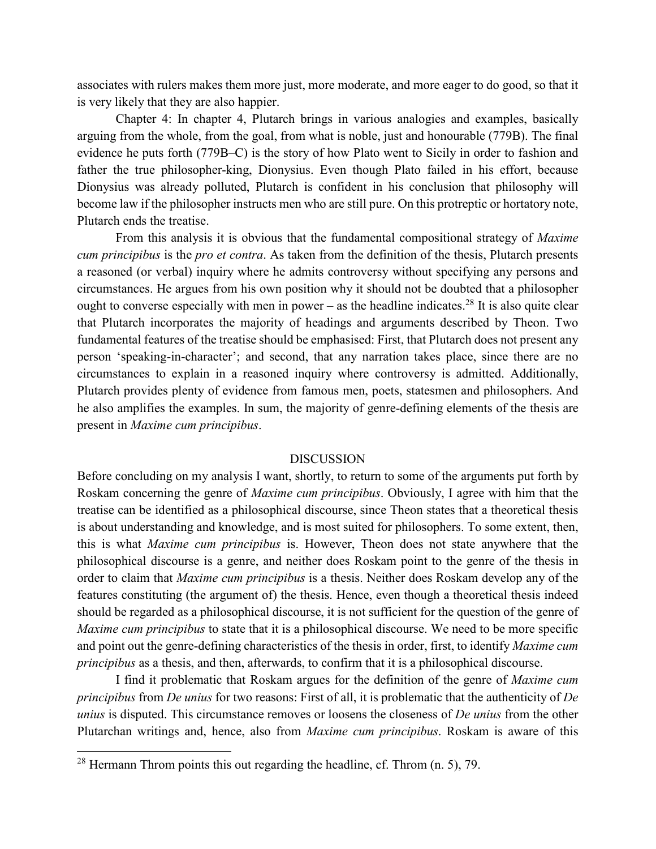associates with rulers makes them more just, more moderate, and more eager to do good, so that it is very likely that they are also happier.

Chapter 4: In chapter 4, Plutarch brings in various analogies and examples, basically arguing from the whole, from the goal, from what is noble, just and honourable (779B). The final evidence he puts forth (779B–C) is the story of how Plato went to Sicily in order to fashion and father the true philosopher-king, Dionysius. Even though Plato failed in his effort, because Dionysius was already polluted, Plutarch is confident in his conclusion that philosophy will become law if the philosopher instructs men who are still pure. On this protreptic or hortatory note, Plutarch ends the treatise.

From this analysis it is obvious that the fundamental compositional strategy of *Maxime cum principibus* is the *pro et contra*. As taken from the definition of the thesis, Plutarch presents a reasoned (or verbal) inquiry where he admits controversy without specifying any persons and circumstances. He argues from his own position why it should not be doubted that a philosopher ought to converse especially with men in power – as the headline indicates.<sup>28</sup> It is also quite clear that Plutarch incorporates the majority of headings and arguments described by Theon. Two fundamental features of the treatise should be emphasised: First, that Plutarch does not present any person 'speaking-in-character'; and second, that any narration takes place, since there are no circumstances to explain in a reasoned inquiry where controversy is admitted. Additionally, Plutarch provides plenty of evidence from famous men, poets, statesmen and philosophers. And he also amplifies the examples. In sum, the majority of genre-defining elements of the thesis are present in *Maxime cum principibus*.

#### DISCUSSION

Before concluding on my analysis I want, shortly, to return to some of the arguments put forth by Roskam concerning the genre of *Maxime cum principibus*. Obviously, I agree with him that the treatise can be identified as a philosophical discourse, since Theon states that a theoretical thesis is about understanding and knowledge, and is most suited for philosophers. To some extent, then, this is what *Maxime cum principibus* is. However, Theon does not state anywhere that the philosophical discourse is a genre, and neither does Roskam point to the genre of the thesis in order to claim that *Maxime cum principibus* is a thesis. Neither does Roskam develop any of the features constituting (the argument of) the thesis. Hence, even though a theoretical thesis indeed should be regarded as a philosophical discourse, it is not sufficient for the question of the genre of *Maxime cum principibus* to state that it is a philosophical discourse. We need to be more specific and point out the genre-defining characteristics of the thesis in order, first, to identify *Maxime cum principibus* as a thesis, and then, afterwards, to confirm that it is a philosophical discourse.

I find it problematic that Roskam argues for the definition of the genre of *Maxime cum principibus* from *De unius* for two reasons: First of all, it is problematic that the authenticity of *De unius* is disputed. This circumstance removes or loosens the closeness of *De unius* from the other Plutarchan writings and, hence, also from *Maxime cum principibus*. Roskam is aware of this

<sup>&</sup>lt;sup>28</sup> Hermann Throm points this out regarding the headline, cf. Throm  $(n, 5)$ , 79.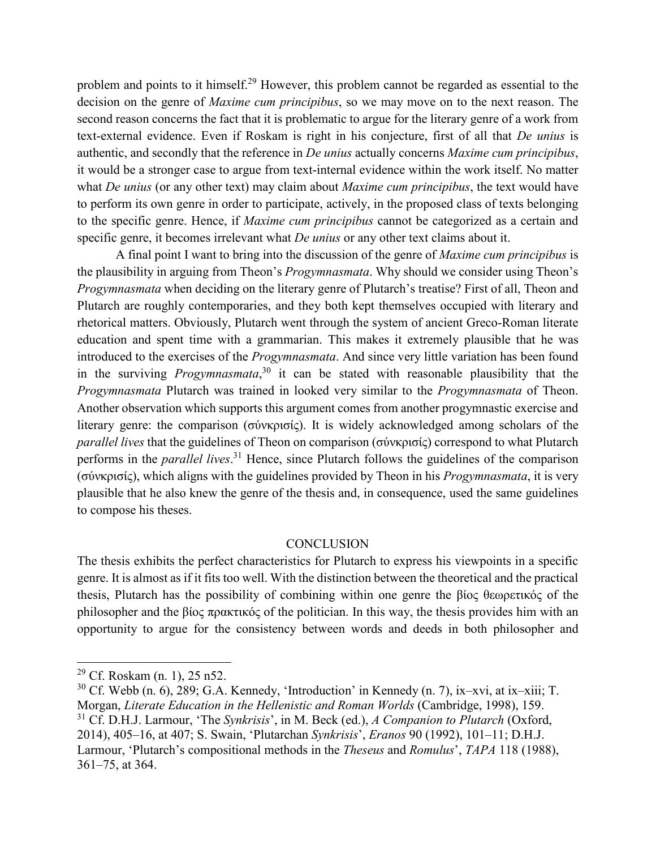problem and points to it himself.<sup>29</sup> However, this problem cannot be regarded as essential to the decision on the genre of *Maxime cum principibus*, so we may move on to the next reason. The second reason concerns the fact that it is problematic to argue for the literary genre of a work from text-external evidence. Even if Roskam is right in his conjecture, first of all that *De unius* is authentic, and secondly that the reference in *De unius* actually concerns *Maxime cum principibus*, it would be a stronger case to argue from text-internal evidence within the work itself. No matter what *De unius* (or any other text) may claim about *Maxime cum principibus*, the text would have to perform its own genre in order to participate, actively, in the proposed class of texts belonging to the specific genre. Hence, if *Maxime cum principibus* cannot be categorized as a certain and specific genre, it becomes irrelevant what *De unius* or any other text claims about it.

A final point I want to bring into the discussion of the genre of *Maxime cum principibus* is the plausibility in arguing from Theon's *Progymnasmata*. Why should we consider using Theon's *Progymnasmata* when deciding on the literary genre of Plutarch's treatise? First of all, Theon and Plutarch are roughly contemporaries, and they both kept themselves occupied with literary and rhetorical matters. Obviously, Plutarch went through the system of ancient Greco-Roman literate education and spent time with a grammarian. This makes it extremely plausible that he was introduced to the exercises of the *Progymnasmata*. And since very little variation has been found in the surviving *Progymnasmata*, <sup>30</sup> it can be stated with reasonable plausibility that the *Progymnasmata* Plutarch was trained in looked very similar to the *Progymnasmata* of Theon. Another observation which supports this argument comes from another progymnastic exercise and literary genre: the comparison (σύνκρισίς). It is widely acknowledged among scholars of the *parallel lives* that the guidelines of Theon on comparison (σύνκρισίς) correspond to what Plutarch performs in the *parallel lives*. <sup>31</sup> Hence, since Plutarch follows the guidelines of the comparison (σύνκρισίς), which aligns with the guidelines provided by Theon in his *Progymnasmata*, it is very plausible that he also knew the genre of the thesis and, in consequence, used the same guidelines to compose his theses.

#### **CONCLUSION**

The thesis exhibits the perfect characteristics for Plutarch to express his viewpoints in a specific genre. It is almost as if it fits too well. With the distinction between the theoretical and the practical thesis, Plutarch has the possibility of combining within one genre the βίος θεωρετικός of the philosopher and the βίος πρακτικός of the politician. In this way, the thesis provides him with an opportunity to argue for the consistency between words and deeds in both philosopher and

<sup>&</sup>lt;sup>29</sup> Cf. Roskam (n. 1), 25 n52.

 $30$  Cf. Webb (n. 6), 289; G.A. Kennedy, 'Introduction' in Kennedy (n. 7), ix–xvi, at ix–xiii; T. Morgan, *Literate Education in the Hellenistic and Roman Worlds* (Cambridge, 1998), 159. <sup>31</sup> Cf. D.H.J. Larmour, 'The *Synkrisis*', in M. Beck (ed.), *A Companion to Plutarch* (Oxford, 2014), 405–16, at 407; S. Swain, 'Plutarchan *Synkrisis*', *Eranos* 90 (1992), 101–11; D.H.J. Larmour, 'Plutarch's compositional methods in the *Theseus* and *Romulus*', *TAPA* 118 (1988), 361–75, at 364.